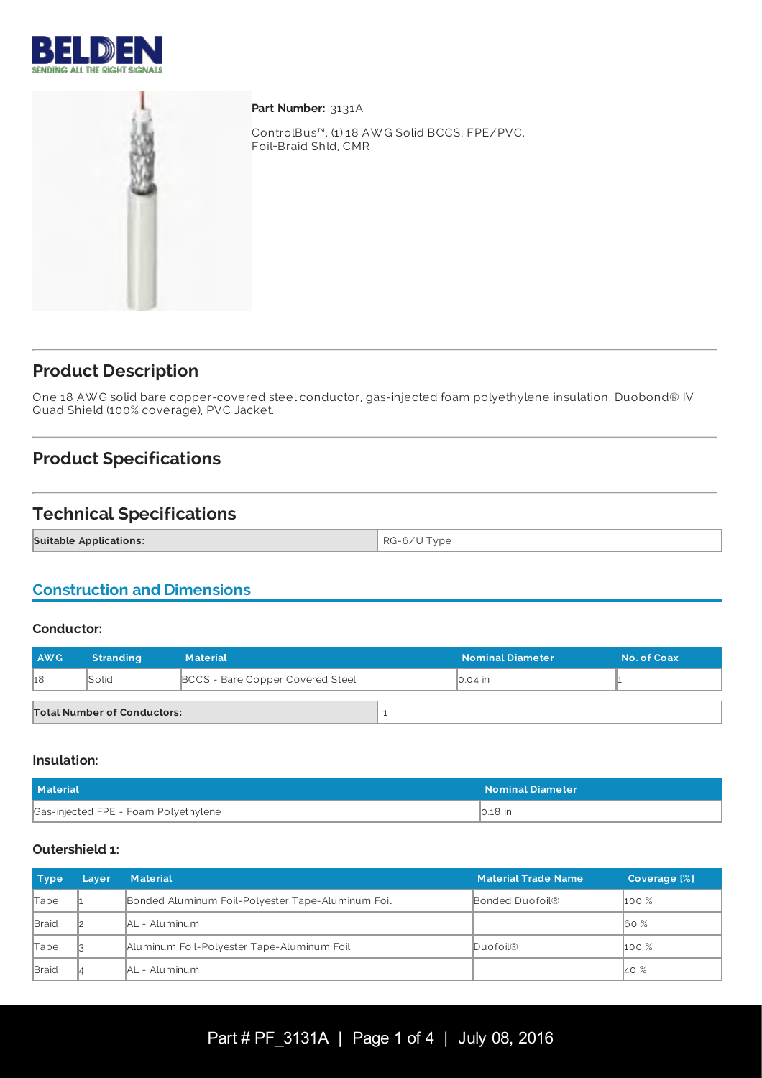



Part Number: 3131A

ControlBus™, (1) 18 AW G Solid BCCS, FPE/PVC, Foil+Braid Shld, CMR

## **Product Description**

One 18 AW G solid bare copper-covered steel conductor, gas-injected foam polyethylene insulation, Duobond® IV Quad Shield (100% coverage), PVC Jacket.

# **Product Specifications**

## **Technical Specifications**

**Suitable Applications:**  $\begin{matrix} \text{RG-6/U Type} \end{matrix}$ 

## **Construction and Dimensions**

#### **Conductor:**

| AWG. | <b>Stranding</b>                   | <b>Material</b>                         |  | <b>Nominal Diameter</b> | No. of Coax |
|------|------------------------------------|-----------------------------------------|--|-------------------------|-------------|
| h8   | <b>Solid</b>                       | <b>BCCS</b> - Bare Copper Covered Steel |  | ∥0.04 in                |             |
|      | <b>Total Number of Conductors:</b> |                                         |  |                         |             |

#### **Insulation:**

| <b>Material</b>                      | <b>Nominal Diameter</b> |
|--------------------------------------|-------------------------|
| Gas-injected FPE - Foam Polyethylene | $\vert$ 0.18 $\vert$ in |

### **Outershield 1:**

| <b>Type</b>  | Layer | <b>Material</b>                                   | <b>Material Trade Name</b> | Coverage [%]     |
|--------------|-------|---------------------------------------------------|----------------------------|------------------|
| Tape         |       | Bonded Aluminum Foil-Polyester Tape-Aluminum Foil | Bonded Duofoil®            | $\mathsf{100\%}$ |
| Braid        |       | <b>AL</b> - Aluminum                              |                            | 60%              |
| Tape         |       | Aluminum Foil-Polyester Tape-Aluminum Foil        | Duofoil®                   | $100\%$          |
| <b>Braid</b> |       | <b>IAL</b> - Aluminum                             |                            | 40 %             |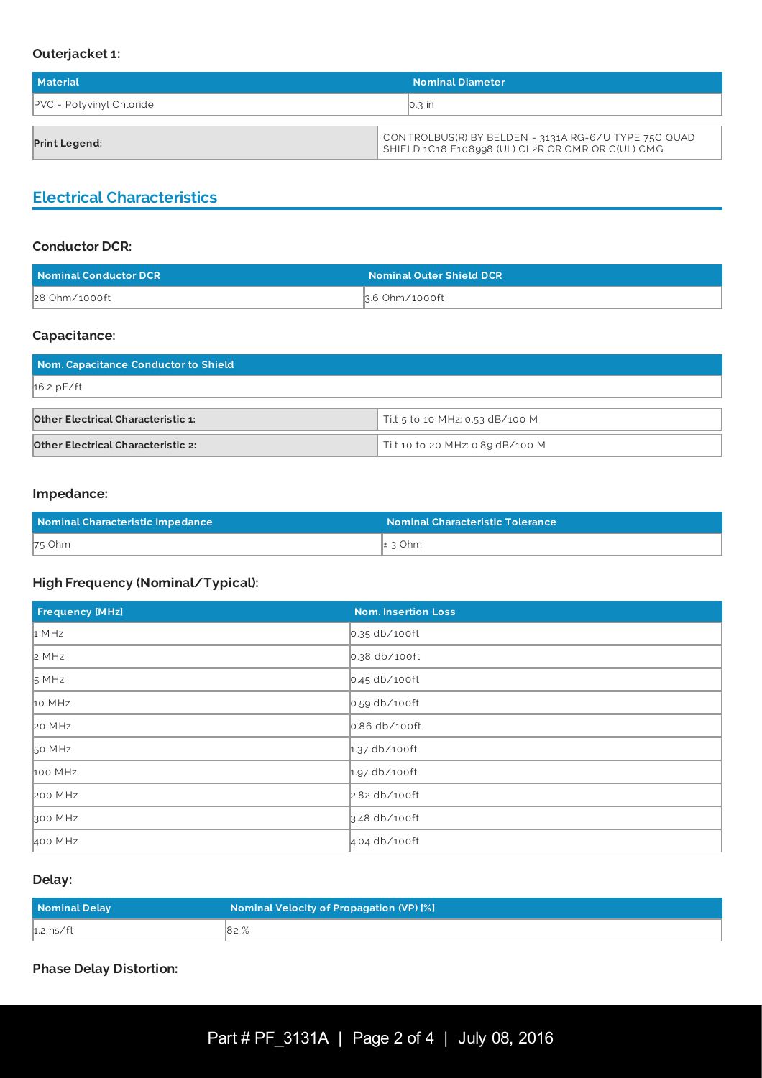#### **Outerjacket 1:**

| Material                        | <b>Nominal Diameter</b>                              |  |
|---------------------------------|------------------------------------------------------|--|
| <b>PVC</b> - Polyvinyl Chloride | $\parallel$ 0.3 in                                   |  |
|                                 | CONTROLBUS(R) BY BELDEN - 3131A RG-6/U TYPE 75C QUAD |  |
| <b>Print Legend:</b>            | SHIELD 1C18 E108998 (UL) CL2R OR CMR OR C(UL) CMG    |  |

## **Electrical Characteristics**

## **Conductor DCR:**

| Nominal Conductor DCR | <b>Nominal Outer Shield DCR</b> |
|-----------------------|---------------------------------|
| 28 Ohm/1000ft         | 3.6 Ohm/1000ft                  |

### **Capacitance:**

| Nom. Capacitance Conductor to Shield      |                                  |  |
|-------------------------------------------|----------------------------------|--|
| $16.2$ pF/ft                              |                                  |  |
| <b>Other Electrical Characteristic 1:</b> | Tilt 5 to 10 MHz: 0.53 dB/100 M  |  |
| <b>Other Electrical Characteristic 2:</b> | Tilt 10 to 20 MHz: 0.89 dB/100 M |  |

#### **Impedance:**

| Nominal Characteristic Impedance | <b>Nominal Characteristic Tolerance</b> |
|----------------------------------|-----------------------------------------|
| 75 Ohm                           | $\pm$ 3 Ohm                             |

### **High Frequency (Nominal/Typical):**

| <b>Frequency [MHz]</b> | <b>Nom. Insertion Loss</b> |
|------------------------|----------------------------|
| 1 MHz                  | $\vert$ 0.35 db/100ft      |
| 2 MHz                  | $\vert$ 0.38 db/100ft      |
| 5 MHz                  | $\vert$ 0.45 db/100ft      |
| 10 MHz                 | $\vert$ 0.59 db/100ft      |
| 20 MHz                 | 0.86 db/100ft              |
| 50 MHz                 | $1.37$ db/100ft            |
| 100 MHz                | $1.97$ db/100ft            |
| <b>200 MHz</b>         | 2.82 db/100ft              |
| 300 MHz                | $3.48$ db/100ft            |
| 400 MHz                | $4.04$ db/100ft            |

## **Delay:**

| Nominal Delay | Nominal Velocity of Propagation (VP) [%] |
|---------------|------------------------------------------|
| $h.2$ ns/ft   | 82%                                      |

**Phase Delay Distortion:**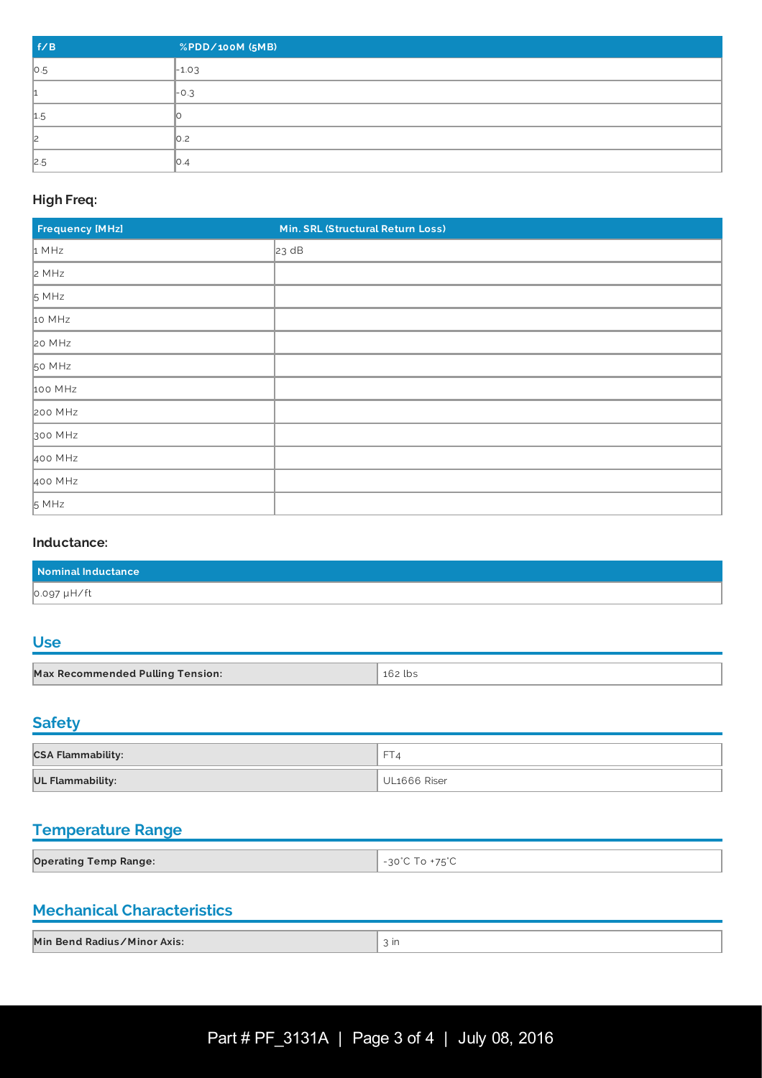| f/B | %PDD/100M (5MB)  |
|-----|------------------|
| 0.5 | $-1.03$          |
|     | $\vert$ -0.3     |
| 1.5 |                  |
| l2  | $\vert$ 0.2      |
| 2.5 | $\mathbb{I}$ O.4 |

## **High Freq:**

| <b>Frequency [MHz]</b> | Min. SRL (Structural Return Loss) |
|------------------------|-----------------------------------|
| 1 MHz                  | 23 dB                             |
| 2 MHz                  |                                   |
| 5 MHz                  |                                   |
| 10 MHz                 |                                   |
| 20 MHz                 |                                   |
| 50 MHz                 |                                   |
| 100 MHz                |                                   |
| 200 MHz                |                                   |
| 300 MHz                |                                   |
| 400 MHz                |                                   |
| 400 MHz                |                                   |
| 5 MHz                  |                                   |

### **Inductance:**

| Nominal Inductance |  |
|--------------------|--|
| 0.097 µH/ft        |  |

# **Use**

| <b>Max Recommended Pulling Tension:</b> | 162 lbs |
|-----------------------------------------|---------|

# **Safety**

| <b>CSA Flammability:</b> | <b>ET</b>    |
|--------------------------|--------------|
| <b>UL Flammability:</b>  | UL1666 Riser |

# **Temperature Range**

| <b>Operating Temp Range:</b> | $- - - - \sim$<br>$\cap \cap$ |
|------------------------------|-------------------------------|

## **Mechanical Characteristics**

| Min Bend Radius/Minor Axis: | ın |
|-----------------------------|----|